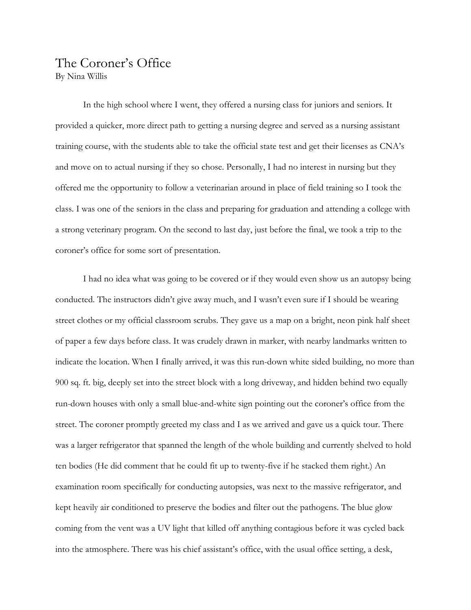## The Coroner's Office By Nina Willis

In the high school where I went, they offered a nursing class for juniors and seniors. It provided a quicker, more direct path to getting a nursing degree and served as a nursing assistant training course, with the students able to take the official state test and get their licenses as CNA's and move on to actual nursing if they so chose. Personally, I had no interest in nursing but they offered me the opportunity to follow a veterinarian around in place of field training so I took the class. I was one of the seniors in the class and preparing for graduation and attending a college with a strong veterinary program. On the second to last day, just before the final, we took a trip to the coroner's office for some sort of presentation.

I had no idea what was going to be covered or if they would even show us an autopsy being conducted. The instructors didn't give away much, and I wasn't even sure if I should be wearing street clothes or my official classroom scrubs. They gave us a map on a bright, neon pink half sheet of paper a few days before class. It was crudely drawn in marker, with nearby landmarks written to indicate the location. When I finally arrived, it was this run-down white sided building, no more than 900 sq. ft. big, deeply set into the street block with a long driveway, and hidden behind two equally run-down houses with only a small blue-and-white sign pointing out the coroner's office from the street. The coroner promptly greeted my class and I as we arrived and gave us a quick tour. There was a larger refrigerator that spanned the length of the whole building and currently shelved to hold ten bodies (He did comment that he could fit up to twenty-five if he stacked them right.) An examination room specifically for conducting autopsies, was next to the massive refrigerator, and kept heavily air conditioned to preserve the bodies and filter out the pathogens. The blue glow coming from the vent was a UV light that killed off anything contagious before it was cycled back into the atmosphere. There was his chief assistant's office, with the usual office setting, a desk,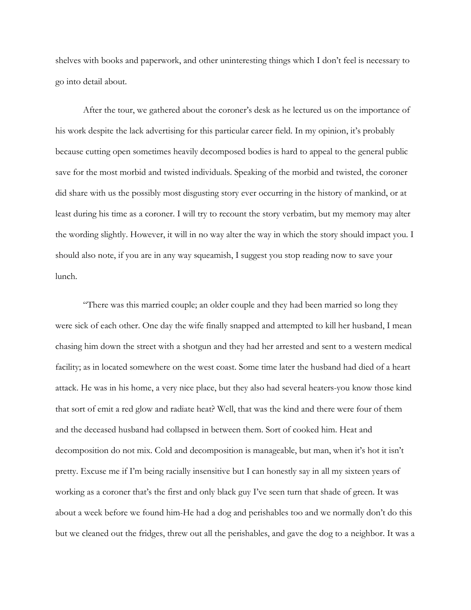shelves with books and paperwork, and other uninteresting things which I don't feel is necessary to go into detail about.

After the tour, we gathered about the coroner's desk as he lectured us on the importance of his work despite the lack advertising for this particular career field. In my opinion, it's probably because cutting open sometimes heavily decomposed bodies is hard to appeal to the general public save for the most morbid and twisted individuals. Speaking of the morbid and twisted, the coroner did share with us the possibly most disgusting story ever occurring in the history of mankind, or at least during his time as a coroner. I will try to recount the story verbatim, but my memory may alter the wording slightly. However, it will in no way alter the way in which the story should impact you. I should also note, if you are in any way squeamish, I suggest you stop reading now to save your lunch.

"There was this married couple; an older couple and they had been married so long they were sick of each other. One day the wife finally snapped and attempted to kill her husband, I mean chasing him down the street with a shotgun and they had her arrested and sent to a western medical facility; as in located somewhere on the west coast. Some time later the husband had died of a heart attack. He was in his home, a very nice place, but they also had several heaters-you know those kind that sort of emit a red glow and radiate heat? Well, that was the kind and there were four of them and the deceased husband had collapsed in between them. Sort of cooked him. Heat and decomposition do not mix. Cold and decomposition is manageable, but man, when it's hot it isn't pretty. Excuse me if I'm being racially insensitive but I can honestly say in all my sixteen years of working as a coroner that's the first and only black guy I've seen turn that shade of green. It was about a week before we found him-He had a dog and perishables too and we normally don't do this but we cleaned out the fridges, threw out all the perishables, and gave the dog to a neighbor. It was a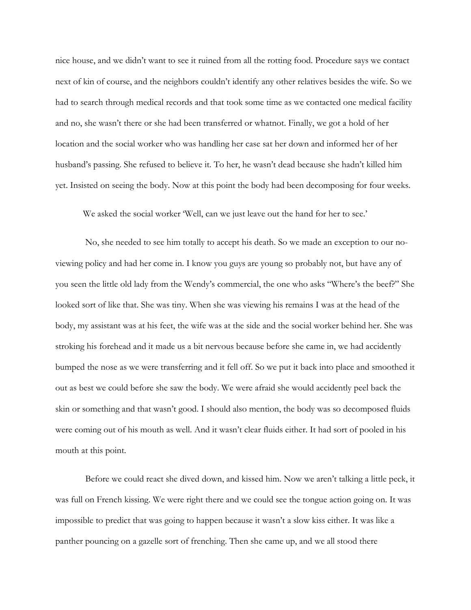nice house, and we didn't want to see it ruined from all the rotting food. Procedure says we contact next of kin of course, and the neighbors couldn't identify any other relatives besides the wife. So we had to search through medical records and that took some time as we contacted one medical facility and no, she wasn't there or she had been transferred or whatnot. Finally, we got a hold of her location and the social worker who was handling her case sat her down and informed her of her husband's passing. She refused to believe it. To her, he wasn't dead because she hadn't killed him yet. Insisted on seeing the body. Now at this point the body had been decomposing for four weeks.

We asked the social worker 'Well, can we just leave out the hand for her to see.'

No, she needed to see him totally to accept his death. So we made an exception to our noviewing policy and had her come in. I know you guys are young so probably not, but have any of you seen the little old lady from the Wendy's commercial, the one who asks "Where's the beef?" She looked sort of like that. She was tiny. When she was viewing his remains I was at the head of the body, my assistant was at his feet, the wife was at the side and the social worker behind her. She was stroking his forehead and it made us a bit nervous because before she came in, we had accidently bumped the nose as we were transferring and it fell off. So we put it back into place and smoothed it out as best we could before she saw the body. We were afraid she would accidently peel back the skin or something and that wasn't good. I should also mention, the body was so decomposed fluids were coming out of his mouth as well. And it wasn't clear fluids either. It had sort of pooled in his mouth at this point.

Before we could react she dived down, and kissed him. Now we aren't talking a little peck, it was full on French kissing. We were right there and we could see the tongue action going on. It was impossible to predict that was going to happen because it wasn't a slow kiss either. It was like a panther pouncing on a gazelle sort of frenching. Then she came up, and we all stood there